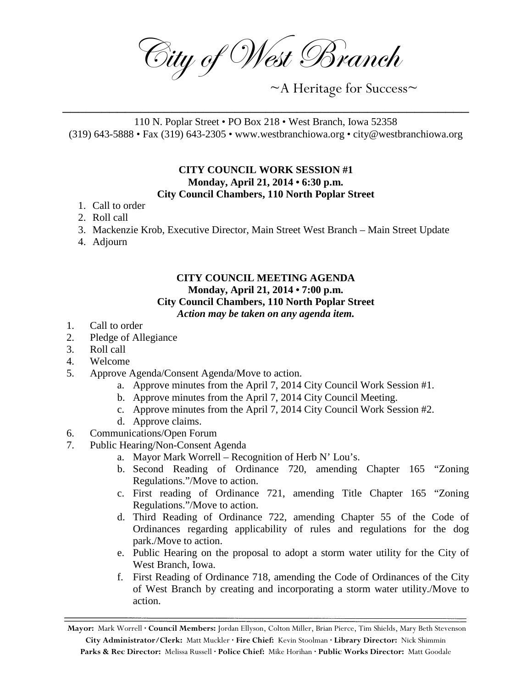City of West Branch

~A Heritage for Success~

110 N. Poplar Street • PO Box 218 • West Branch, Iowa 52358 (319) 643-5888 • Fax (319) 643-2305 • www.westbranchiowa.org • city@westbranchiowa.org

\_\_\_\_\_\_\_\_\_\_\_\_\_\_\_\_\_\_\_\_\_\_\_\_\_\_\_\_\_\_\_\_\_\_\_\_\_\_\_\_\_\_\_\_\_\_\_\_\_\_\_\_

## **CITY COUNCIL WORK SESSION #1 Monday, April 21, 2014 • 6:30 p.m. City Council Chambers, 110 North Poplar Street**

- 1. Call to order
- 2. Roll call
- 3. Mackenzie Krob, Executive Director, Main Street West Branch Main Street Update
- 4. Adjourn

## **CITY COUNCIL MEETING AGENDA Monday, April 21, 2014 • 7:00 p.m. City Council Chambers, 110 North Poplar Street** *Action may be taken on any agenda item.*

- 1. Call to order
- 2. Pledge of Allegiance
- 3. Roll call
- 4. Welcome
- 5. Approve Agenda/Consent Agenda/Move to action.
	- a. Approve minutes from the April 7, 2014 City Council Work Session #1.
	- b. Approve minutes from the April 7, 2014 City Council Meeting.
	- c. Approve minutes from the April 7, 2014 City Council Work Session #2.
	- d. Approve claims.
- 6. Communications/Open Forum
- 7. Public Hearing/Non-Consent Agenda
	- a. Mayor Mark Worrell Recognition of Herb N' Lou's.
	- b. Second Reading of Ordinance 720, amending Chapter 165 "Zoning Regulations."/Move to action.
	- c. First reading of Ordinance 721, amending Title Chapter 165 "Zoning Regulations."/Move to action.
	- d. Third Reading of Ordinance 722, amending Chapter 55 of the Code of Ordinances regarding applicability of rules and regulations for the dog park./Move to action.
	- e. Public Hearing on the proposal to adopt a storm water utility for the City of West Branch, Iowa.
	- f. First Reading of Ordinance 718, amending the Code of Ordinances of the City of West Branch by creating and incorporating a storm water utility./Move to action.

**Mayor:** Mark Worrell **· Council Members:** Jordan Ellyson, Colton Miller, Brian Pierce, Tim Shields, Mary Beth Stevenson **City Administrator/Clerk:** Matt Muckler **· Fire Chief:** Kevin Stoolman **· Library Director:** Nick Shimmin **Parks & Rec Director:** Melissa Russell **· Police Chief:** Mike Horihan **· Public Works Director:** Matt Goodale